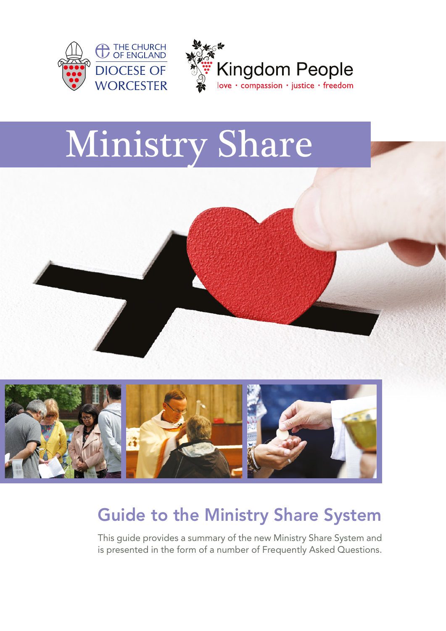



# Ministry Share



# Guide to the Ministry Share System

This guide provides a summary of the new Ministry Share System and is presented in the form of a number of Frequently Asked Questions.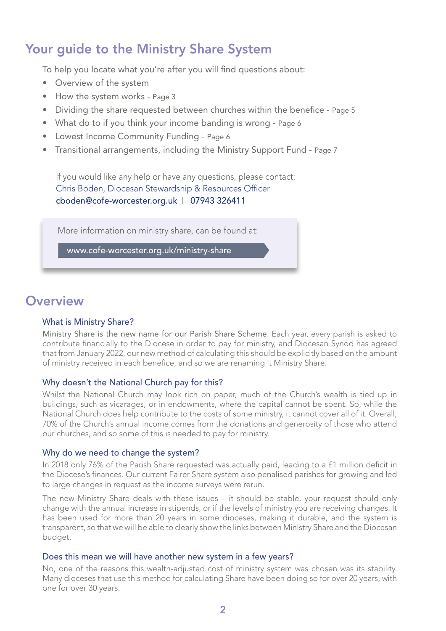# Your guide to the Ministry Share System

To help you locate what you're after you will find questions about:

- Overview of the system
- How the system works Page 3
- Dividing the share requested between churches within the benefice Page 5
- What do to if you think your income banding is wrong Page 6
- Lowest Income Community Funding Page 6
- Transitional arrangements, including the Ministry Support Fund Page 7

If you would like any help or have any questions, please contact: Chris Boden, Diocesan Stewardship & Resources Officer cboden@cofe-worcester.org.uk | 07943 326411

More information on ministry share, can be found at:

www.cofe-worcester.org.uk/ministry-share

# **Overview**

### What is Ministry Share?

Ministry Share is the new name for our Parish Share Scheme. Each year, every parish is asked to contribute financially to the Diocese in order to pay for ministry, and Diocesan Synod has agreed that from January 2022, our new method of calculating this should be explicitly based on the amount of ministry received in each benefice, and so we are renaming it Ministry Share.

### Why doesn't the National Church pay for this?

Whilst the National Church may look rich on paper, much of the Church's wealth is tied up in buildings, such as vicarages, or in endowments, where the capital cannot be spent. So, while the National Church does help contribute to the costs of some ministry, it cannot cover all of it. Overall, 70% of the Church's annual income comes from the donations and generosity of those who attend our churches, and so some of this is needed to pay for ministry.

### Why do we need to change the system?

In 2018 only 76% of the Parish Share requested was actually paid, leading to a £1 million deficit in the Diocese's finances. Our current Fairer Share system also penalised parishes for growing and led to large changes in request as the income surveys were rerun.

The new Ministry Share deals with these issues – it should be stable, your request should only change with the annual increase in stipends, or if the levels of ministry you are receiving changes. It has been used for more than 20 years in some dioceses, making it durable, and the system is transparent, so that we will be able to clearly show the links between Ministry Share and the Diocesan budget.

#### Does this mean we will have another new system in a few years?

No, one of the reasons this wealth-adjusted cost of ministry system was chosen was its stability. Many dioceses that use this method for calculating Share have been doing so for over 20 years, with one for over 30 years.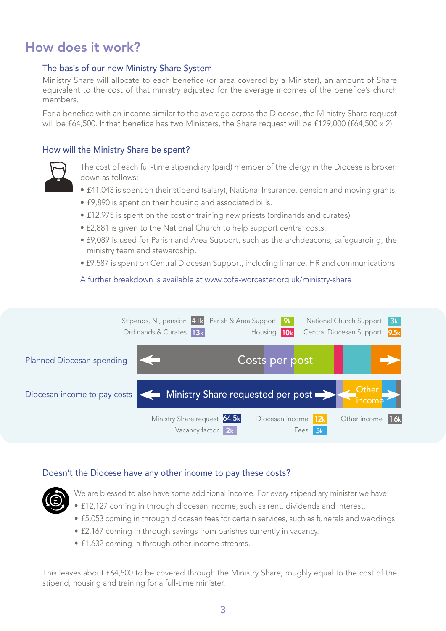# How does it work?

## The basis of our new Ministry Share System

Ministry Share will allocate to each benefice (or area covered by a Minister), an amount of Share equivalent to the cost of that ministry adjusted for the average incomes of the benefice's church members.

For a benefice with an income similar to the average across the Diocese, the Ministry Share request will be £64,500. If that benefice has two Ministers, the Share request will be £129,000 (£64,500 x 2).

## How will the Ministry Share be spent?



The cost of each full-time stipendiary (paid) member of the clergy in the Diocese is broken down as follows:

- £41,043 is spent on their stipend (salary), National Insurance, pension and moving grants.
- £9,890 is spent on their housing and associated bills.
- £12,975 is spent on the cost of training new priests (ordinands and curates).
- £2,881 is given to the National Church to help support central costs.
- £9,089 is used for Parish and Area Support, such as the archdeacons, safeguarding, the ministry team and stewardship.
- £9,587 is spent on Central Diocesan Support, including finance, HR and communications.

A further breakdown is available at www.cofe-worcester.org.uk/ministry-share



### Doesn't the Diocese have any other income to pay these costs?



- We are blessed to also have some additional income. For every stipendiary minister we have:
- £12,127 coming in through diocesan income, such as rent, dividends and interest.
- £5,053 coming in through diocesan fees for certain services, such as funerals and weddings.
- £2,167 coming in through savings from parishes currently in vacancy.
- £1,632 coming in through other income streams.

This leaves about £64,500 to be covered through the Ministry Share, roughly equal to the cost of the stipend, housing and training for a full-time minister.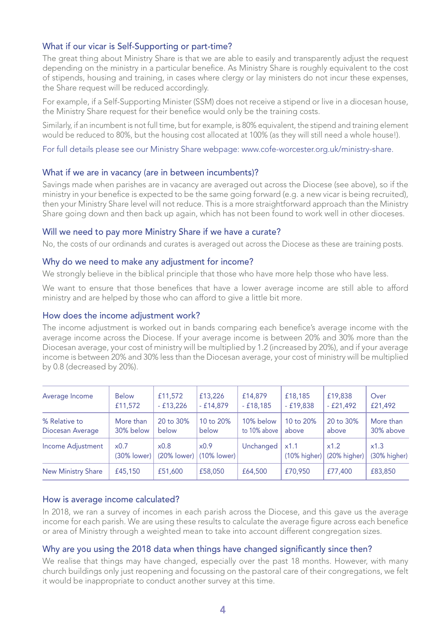# What if our vicar is Self-Supporting or part-time?

The great thing about Ministry Share is that we are able to easily and transparently adjust the request depending on the ministry in a particular benefice. As Ministry Share is roughly equivalent to the cost of stipends, housing and training, in cases where clergy or lay ministers do not incur these expenses, the Share request will be reduced accordingly.

For example, if a Self-Supporting Minister (SSM) does not receive a stipend or live in a diocesan house, the Ministry Share request for their benefice would only be the training costs.

Similarly, if an incumbent is not full time, but for example, is 80% equivalent, the stipend and training element would be reduced to 80%, but the housing cost allocated at 100% (as they will still need a whole house!).

For full details please see our Ministry Share webpage: www.cofe-worcester.org.uk/ministry-share.

### What if we are in vacancy (are in between incumbents)?

Savings made when parishes are in vacancy are averaged out across the Diocese (see above), so if the ministry in your benefice is expected to be the same going forward (e.g. a new vicar is being recruited), then your Ministry Share level will not reduce. This is a more straightforward approach than the Ministry Share going down and then back up again, which has not been found to work well in other dioceses.

## Will we need to pay more Ministry Share if we have a curate?

No, the costs of our ordinands and curates is averaged out across the Diocese as these are training posts.

## Why do we need to make any adjustment for income?

We strongly believe in the biblical principle that those who have more help those who have less.

We want to ensure that those benefices that have a lower average income are still able to afford ministry and are helped by those who can afford to give a little bit more.

## How does the income adjustment work?

The income adjustment is worked out in bands comparing each benefice's average income with the average income across the Diocese. If your average income is between 20% and 30% more than the Diocesan average, your cost of ministry will be multiplied by 1.2 (increased by 20%), and if your average income is between 20% and 30% less than the Diocesan average, your cost of ministry will be multiplied by 0.8 (decreased by 20%).

| Average Income            | <b>Below</b>        | £11,572                | £13,226                | £14,879      | £18,185              | £19,838              | Over                 |
|---------------------------|---------------------|------------------------|------------------------|--------------|----------------------|----------------------|----------------------|
|                           | £11,572             | $-£13,226$             | $-£14,879$             | $-£18,185$   | $-£19,838$           | $-£21,492$           | £21,492              |
| % Relative to             | More than           | 20 to 30%              | 10 to 20%              | 10% below    | 10 to 20%            | 20 to 30%            | More than            |
| Diocesan Average          | 30% below           | below                  | below                  | to 10% above | above                | above                | 30% above            |
| Income Adjustment         | x0.7<br>(30% lower) | x0.8<br>$(20\%$ lower) | x0.9<br>$(10\%$ lower) | Unchanged    | x1.1<br>(10% higher) | x1.2<br>(20% higher) | x1.3<br>(30% higher) |
| <b>New Ministry Share</b> | £45,150             | £51,600                | £58,050                | £64,500      | £70,950              | £77,400              | £83,850              |

### How is average income calculated?

In 2018, we ran a survey of incomes in each parish across the Diocese, and this gave us the average income for each parish. We are using these results to calculate the average figure across each benefice or area of Ministry through a weighted mean to take into account different congregation sizes.

# Why are you using the 2018 data when things have changed significantly since then?

We realise that things may have changed, especially over the past 18 months. However, with many church buildings only just reopening and focussing on the pastoral care of their congregations, we felt it would be inappropriate to conduct another survey at this time.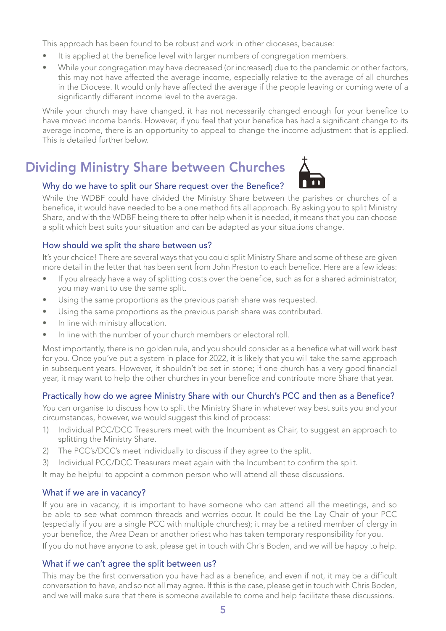This approach has been found to be robust and work in other dioceses, because:

- It is applied at the benefice level with larger numbers of congregation members.
- While your congregation may have decreased (or increased) due to the pandemic or other factors, this may not have affected the average income, especially relative to the average of all churches in the Diocese. It would only have affected the average if the people leaving or coming were of a significantly different income level to the average.

While your church may have changed, it has not necessarily changed enough for your benefice to have moved income bands. However, if you feel that your benefice has had a significant change to its average income, there is an opportunity to appeal to change the income adjustment that is applied. This is detailed further below.

# Dividing Ministry Share between Churches



# Why do we have to split our Share request over the Benefice?

While the WDBF could have divided the Ministry Share between the parishes or churches of a benefice, it would have needed to be a one method fits all approach. By asking you to split Ministry Share, and with the WDBF being there to offer help when it is needed, it means that you can choose a split which best suits your situation and can be adapted as your situations change.

# How should we split the share between us?

It's your choice! There are several ways that you could split Ministry Share and some of these are given more detail in the letter that has been sent from John Preston to each benefice. Here are a few ideas:

- If you already have a way of splitting costs over the benefice, such as for a shared administrator, you may want to use the same split.
- Using the same proportions as the previous parish share was requested.
- Using the same proportions as the previous parish share was contributed.
- In line with ministry allocation.
- In line with the number of your church members or electoral roll.

Most importantly, there is no golden rule, and you should consider as a benefice what will work best for you. Once you've put a system in place for 2022, it is likely that you will take the same approach in subsequent years. However, it shouldn't be set in stone; if one church has a very good financial year, it may want to help the other churches in your benefice and contribute more Share that year.

# Practically how do we agree Ministry Share with our Church's PCC and then as a Benefice?

You can organise to discuss how to split the Ministry Share in whatever way best suits you and your circumstances, however, we would suggest this kind of process:

- 1) Individual PCC/DCC Treasurers meet with the Incumbent as Chair, to suggest an approach to splitting the Ministry Share.
- 2) The PCC's/DCC's meet individually to discuss if they agree to the split.
- 3) Individual PCC/DCC Treasurers meet again with the Incumbent to confirm the split.

It may be helpful to appoint a common person who will attend all these discussions.

# What if we are in vacancy?

If you are in vacancy, it is important to have someone who can attend all the meetings, and so be able to see what common threads and worries occur. It could be the Lay Chair of your PCC (especially if you are a single PCC with multiple churches); it may be a retired member of clergy in your benefice, the Area Dean or another priest who has taken temporary responsibility for you.

If you do not have anyone to ask, please get in touch with Chris Boden, and we will be happy to help.

# What if we can't agree the split between us?

This may be the first conversation you have had as a benefice, and even if not, it may be a difficult conversation to have, and so not all may agree. If this is the case, please get in touch with Chris Boden, and we will make sure that there is someone available to come and help facilitate these discussions.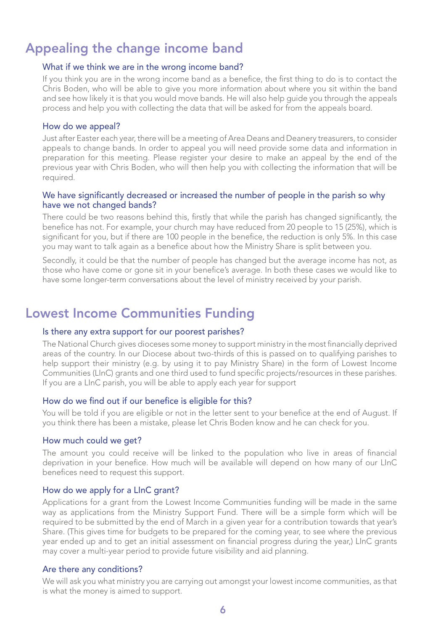# Appealing the change income band

#### What if we think we are in the wrong income band?

If you think you are in the wrong income band as a benefice, the first thing to do is to contact the Chris Boden, who will be able to give you more information about where you sit within the band and see how likely it is that you would move bands. He will also help guide you through the appeals process and help you with collecting the data that will be asked for from the appeals board.

#### How do we appeal?

Just after Easter each year, there will be a meeting of Area Deans and Deanery treasurers, to consider appeals to change bands. In order to appeal you will need provide some data and information in preparation for this meeting. Please register your desire to make an appeal by the end of the previous year with Chris Boden, who will then help you with collecting the information that will be required.

### We have significantly decreased or increased the number of people in the parish so why have we not changed bands?

There could be two reasons behind this, firstly that while the parish has changed significantly, the benefice has not. For example, your church may have reduced from 20 people to 15 (25%), which is significant for you, but if there are 100 people in the benefice, the reduction is only 5%. In this case you may want to talk again as a benefice about how the Ministry Share is split between you.

Secondly, it could be that the number of people has changed but the average income has not, as those who have come or gone sit in your benefice's average. In both these cases we would like to have some longer-term conversations about the level of ministry received by your parish.

# Lowest Income Communities Funding

#### Is there any extra support for our poorest parishes?

The National Church gives dioceses some money to support ministry in the most financially deprived areas of the country. In our Diocese about two-thirds of this is passed on to qualifying parishes to help support their ministry (e.g. by using it to pay Ministry Share) in the form of Lowest Income Communities (LInC) grants and one third used to fund specific projects/resources in these parishes. If you are a LInC parish, you will be able to apply each year for support

### How do we find out if our benefice is eligible for this?

You will be told if you are eligible or not in the letter sent to your benefice at the end of August. If you think there has been a mistake, please let Chris Boden know and he can check for you.

#### How much could we get?

The amount you could receive will be linked to the population who live in areas of financial deprivation in your benefice. How much will be available will depend on how many of our LInC benefices need to request this support.

#### How do we apply for a LInC grant?

Applications for a grant from the Lowest Income Communities funding will be made in the same way as applications from the Ministry Support Fund. There will be a simple form which will be required to be submitted by the end of March in a given year for a contribution towards that year's Share. (This gives time for budgets to be prepared for the coming year, to see where the previous year ended up and to get an initial assessment on financial progress during the year,) LInC grants may cover a multi-year period to provide future visibility and aid planning.

#### Are there any conditions?

We will ask you what ministry you are carrying out amongst your lowest income communities, as that is what the money is aimed to support.